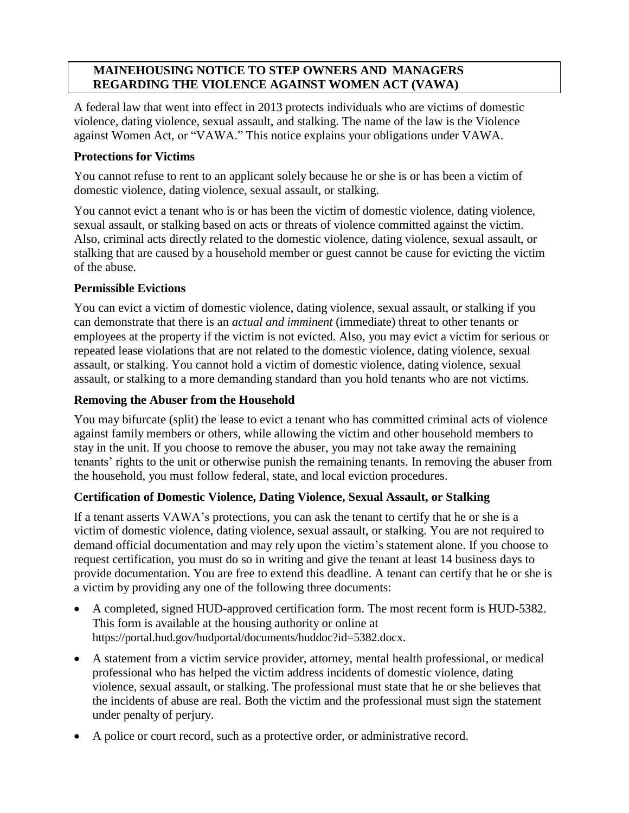## **MAINEHOUSING NOTICE TO STEP OWNERS AND MANAGERS REGARDING THE VIOLENCE AGAINST WOMEN ACT (VAWA)**

A federal law that went into effect in 2013 protects individuals who are victims of domestic violence, dating violence, sexual assault, and stalking. The name of the law is the Violence against Women Act, or "VAWA." This notice explains your obligations under VAWA.

### **Protections for Victims**

You cannot refuse to rent to an applicant solely because he or she is or has been a victim of domestic violence, dating violence, sexual assault, or stalking.

You cannot evict a tenant who is or has been the victim of domestic violence, dating violence, sexual assault, or stalking based on acts or threats of violence committed against the victim. Also, criminal acts directly related to the domestic violence, dating violence, sexual assault, or stalking that are caused by a household member or guest cannot be cause for evicting the victim of the abuse.

#### **Permissible Evictions**

You can evict a victim of domestic violence, dating violence, sexual assault, or stalking if you can demonstrate that there is an *actual and imminent* (immediate) threat to other tenants or employees at the property if the victim is not evicted. Also, you may evict a victim for serious or repeated lease violations that are not related to the domestic violence, dating violence, sexual assault, or stalking. You cannot hold a victim of domestic violence, dating violence, sexual assault, or stalking to a more demanding standard than you hold tenants who are not victims.

#### **Removing the Abuser from the Household**

You may bifurcate (split) the lease to evict a tenant who has committed criminal acts of violence against family members or others, while allowing the victim and other household members to stay in the unit. If you choose to remove the abuser, you may not take away the remaining tenants' rights to the unit or otherwise punish the remaining tenants. In removing the abuser from the household, you must follow federal, state, and local eviction procedures.

### **Certification of Domestic Violence, Dating Violence, Sexual Assault, or Stalking**

If a tenant asserts VAWA's protections, you can ask the tenant to certify that he or she is a victim of domestic violence, dating violence, sexual assault, or stalking. You are not required to demand official documentation and may rely upon the victim's statement alone. If you choose to request certification, you must do so in writing and give the tenant at least 14 business days to provide documentation. You are free to extend this deadline. A tenant can certify that he or she is a victim by providing any one of the following three documents:

- A completed, signed HUD-approved certification form. The most recent form is HUD-5382. This form is available at the housing authority or online at https://portal.hud.gov/hudportal/documents/huddoc?id=5382.docx.
- A statement from a victim service provider, attorney, mental health professional, or medical professional who has helped the victim address incidents of domestic violence, dating violence, sexual assault, or stalking. The professional must state that he or she believes that the incidents of abuse are real. Both the victim and the professional must sign the statement under penalty of perjury.
- A police or court record, such as a protective order, or administrative record.